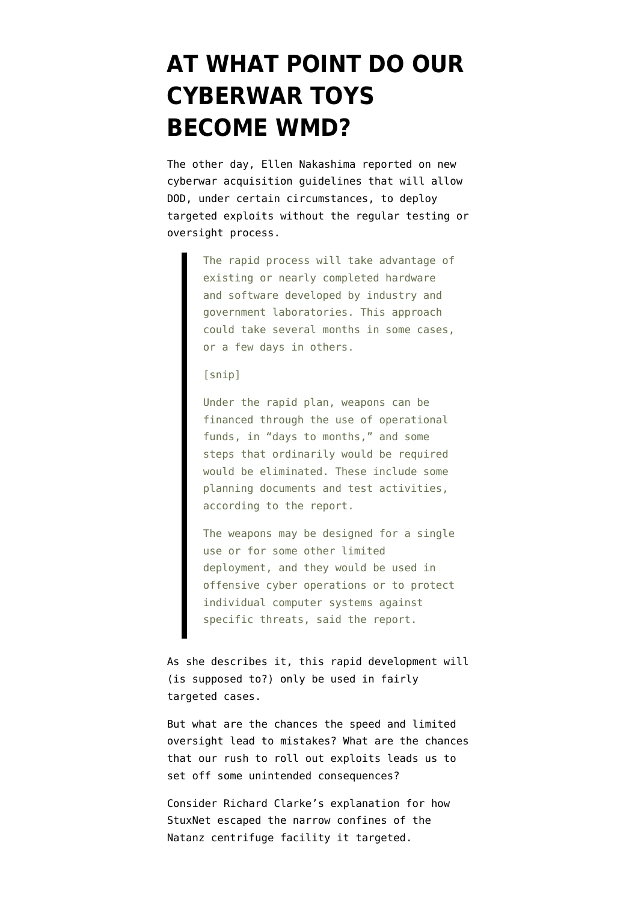## **[AT WHAT POINT DO OUR](https://www.emptywheel.net/2012/04/11/at-what-point-do-our-cyberwar-toys-become-wmd/) [CYBERWAR TOYS](https://www.emptywheel.net/2012/04/11/at-what-point-do-our-cyberwar-toys-become-wmd/) [BECOME WMD?](https://www.emptywheel.net/2012/04/11/at-what-point-do-our-cyberwar-toys-become-wmd/)**

The other day, Ellen Nakashima [reported](http://www.washingtonpost.com/world/national-security/2012/04/09/gIQAuwb76S_story.html) on new cyberwar acquisition guidelines that will allow DOD, under certain circumstances, to deploy targeted exploits without the regular testing or oversight process.

> The rapid process will take advantage of existing or nearly completed hardware and software developed by industry and government laboratories. This approach could take several months in some cases, or a few days in others.

[snip]

Under the rapid plan, weapons can be financed through the use of operational funds, in "days to months," and some steps that ordinarily would be required would be eliminated. These include some planning documents and test activities, according to the report.

The weapons may be designed for a single use or for some other limited deployment, and they would be used in offensive cyber operations or to protect individual computer systems against specific threats, said the report.

As she describes it, this rapid development will (is supposed to?) only be used in fairly targeted cases.

But what are the chances the speed and limited oversight lead to mistakes? What are the chances that our rush to roll out exploits leads us to set off some unintended consequences?

Consider Richard Clarke's [explanation](http://www.smithsonianmag.com/history-archaeology/Richard-Clarke-on-Who-Was-Behind-the-Stuxnet-Attack.html?c=y&story=fullstory) for how StuxNet escaped the narrow confines of the Natanz centrifuge facility it targeted.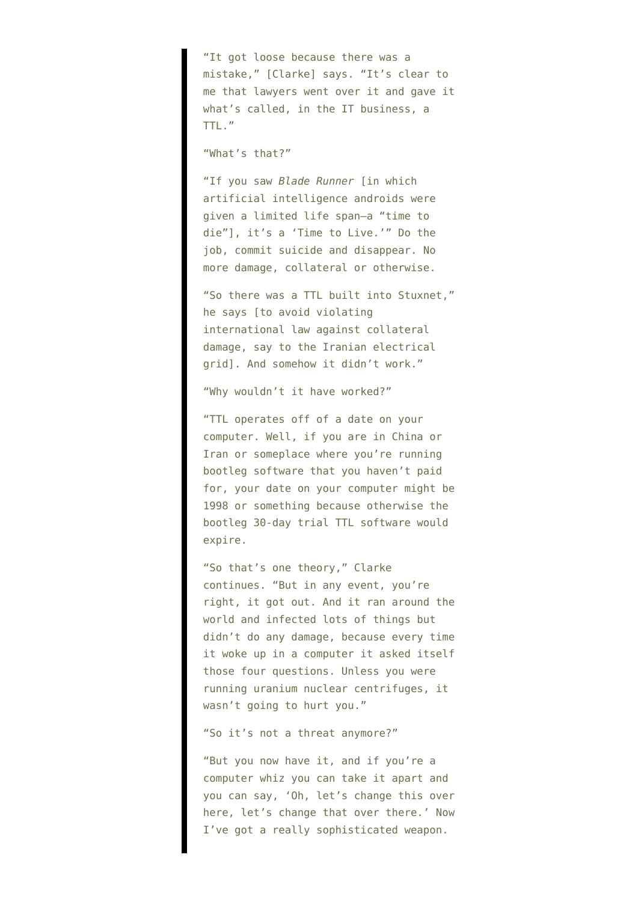"It got loose because there was a mistake," [Clarke] says. "It's clear to me that lawyers went over it and gave it what's called, in the IT business, a TTL."

"What's that?"

"If you saw *Blade Runner* [in which artificial intelligence androids were given a limited life span—a "time to die"], it's a 'Time to Live.'" Do the job, commit suicide and disappear. No more damage, collateral or otherwise.

"So there was a TTL built into Stuxnet," he says [to avoid violating international law against collateral damage, say to the Iranian electrical grid]. And somehow it didn't work."

"Why wouldn't it have worked?"

"TTL operates off of a date on your computer. Well, if you are in China or Iran or someplace where you're running bootleg software that you haven't paid for, your date on your computer might be 1998 or something because otherwise the bootleg 30-day trial TTL software would expire.

"So that's one theory," Clarke continues. "But in any event, you're right, it got out. And it ran around the world and infected lots of things but didn't do any damage, because every time it woke up in a computer it asked itself those four questions. Unless you were running uranium nuclear centrifuges, it wasn't going to hurt you."

"So it's not a threat anymore?"

"But you now have it, and if you're a computer whiz you can take it apart and you can say, 'Oh, let's change this over here, let's change that over there.' Now I've got a really sophisticated weapon.